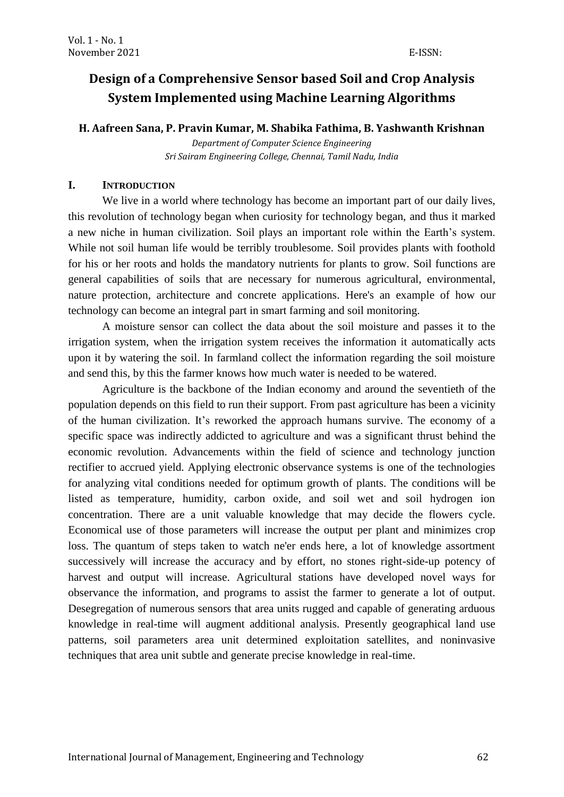# **Design of a Comprehensive Sensor based Soil and Crop Analysis System Implemented using Machine Learning Algorithms**

**H. Aafreen Sana, P. Pravin Kumar, M. Shabika Fathima, B. Yashwanth Krishnan**

*Department of Computer Science Engineering Sri Sairam Engineering College, Chennai, Tamil Nadu, India*

#### **I. INTRODUCTION**

We live in a world where technology has become an important part of our daily lives, this revolution of technology began when curiosity for technology began, and thus it marked a new niche in human civilization. Soil plays an important role within the Earth's system. While not soil human life would be terribly troublesome. Soil provides plants with foothold for his or her roots and holds the mandatory nutrients for plants to grow. Soil functions are general capabilities of soils that are necessary for numerous agricultural, environmental, nature protection, architecture and concrete applications. Here's an example of how our technology can become an integral part in smart farming and soil monitoring.

A moisture sensor can collect the data about the soil moisture and passes it to the irrigation system, when the irrigation system receives the information it automatically acts upon it by watering the soil. In farmland collect the information regarding the soil moisture and send this, by this the farmer knows how much water is needed to be watered.

Agriculture is the backbone of the Indian economy and around the seventieth of the population depends on this field to run their support. From past agriculture has been a vicinity of the human civilization. It's reworked the approach humans survive. The economy of a specific space was indirectly addicted to agriculture and was a significant thrust behind the economic revolution. Advancements within the field of science and technology junction rectifier to accrued yield. Applying electronic observance systems is one of the technologies for analyzing vital conditions needed for optimum growth of plants. The conditions will be listed as temperature, humidity, carbon oxide, and soil wet and soil hydrogen ion concentration. There are a unit valuable knowledge that may decide the flowers cycle. Economical use of those parameters will increase the output per plant and minimizes crop loss. The quantum of steps taken to watch ne'er ends here, a lot of knowledge assortment successively will increase the accuracy and by effort, no stones right-side-up potency of harvest and output will increase. Agricultural stations have developed novel ways for observance the information, and programs to assist the farmer to generate a lot of output. Desegregation of numerous sensors that area units rugged and capable of generating arduous knowledge in real-time will augment additional analysis. Presently geographical land use patterns, soil parameters area unit determined exploitation satellites, and noninvasive techniques that area unit subtle and generate precise knowledge in real-time.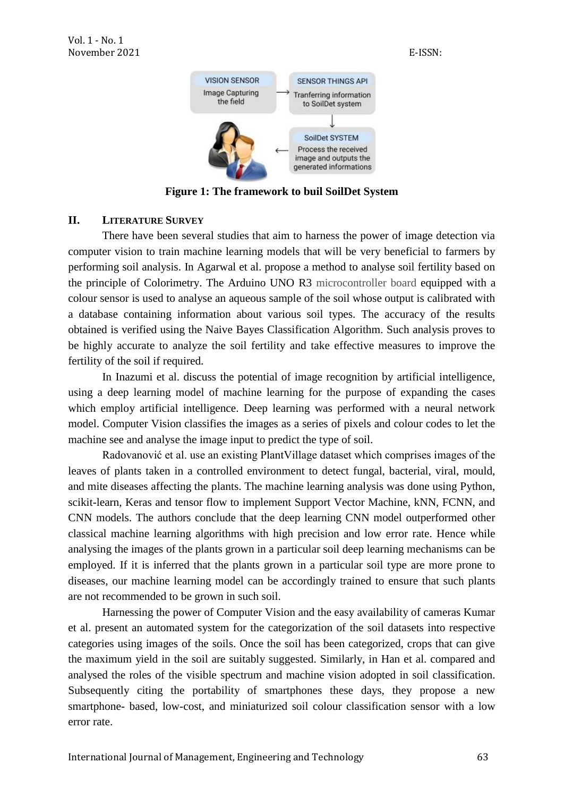

**Figure 1: The framework to buil SoilDet System**

# **II. LITERATURE SURVEY**

There have been several studies that aim to harness the power of image detection via computer vision to train machine learning models that will be very beneficial to farmers by performing soil analysis. In Agarwal et al. propose a method to analyse soil fertility based on the principle of Colorimetry. The Arduino UNO R3 microcontroller board equipped with a colour sensor is used to analyse an aqueous sample of the soil whose output is calibrated with a database containing information about various soil types. The accuracy of the results obtained is verified using the Naive Bayes Classification Algorithm. Such analysis proves to be highly accurate to analyze the soil fertility and take effective measures to improve the fertility of the soil if required.

In Inazumi et al. discuss the potential of image recognition by artificial intelligence, using a deep learning model of machine learning for the purpose of expanding the cases which employ artificial intelligence. Deep learning was performed with a neural network model. Computer Vision classifies the images as a series of pixels and colour codes to let the machine see and analyse the image input to predict the type of soil.

Radovanović et al. use an existing PlantVillage dataset which comprises images of the leaves of plants taken in a controlled environment to detect fungal, bacterial, viral, mould, and mite diseases affecting the plants. The machine learning analysis was done using Python, scikit-learn, Keras and tensor flow to implement Support Vector Machine, kNN, FCNN, and CNN models. The authors conclude that the deep learning CNN model outperformed other classical machine learning algorithms with high precision and low error rate. Hence while analysing the images of the plants grown in a particular soil deep learning mechanisms can be employed. If it is inferred that the plants grown in a particular soil type are more prone to diseases, our machine learning model can be accordingly trained to ensure that such plants are not recommended to be grown in such soil.

Harnessing the power of Computer Vision and the easy availability of cameras Kumar et al. present an automated system for the categorization of the soil datasets into respective categories using images of the soils. Once the soil has been categorized, crops that can give the maximum yield in the soil are suitably suggested. Similarly, in Han et al. compared and analysed the roles of the visible spectrum and machine vision adopted in soil classification. Subsequently citing the portability of smartphones these days, they propose a new smartphone- based, low-cost, and miniaturized soil colour classification sensor with a low error rate.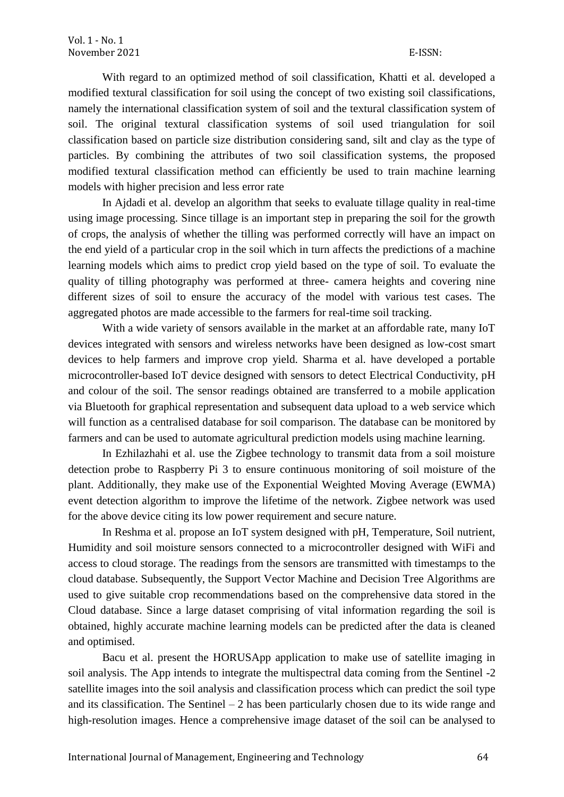With regard to an optimized method of soil classification, Khatti et al. developed a modified textural classification for soil using the concept of two existing soil classifications, namely the international classification system of soil and the textural classification system of soil. The original textural classification systems of soil used triangulation for soil classification based on particle size distribution considering sand, silt and clay as the type of particles. By combining the attributes of two soil classification systems, the proposed modified textural classification method can efficiently be used to train machine learning models with higher precision and less error rate

In Ajdadi et al. develop an algorithm that seeks to evaluate tillage quality in real-time using image processing. Since tillage is an important step in preparing the soil for the growth of crops, the analysis of whether the tilling was performed correctly will have an impact on the end yield of a particular crop in the soil which in turn affects the predictions of a machine learning models which aims to predict crop yield based on the type of soil. To evaluate the quality of tilling photography was performed at three- camera heights and covering nine different sizes of soil to ensure the accuracy of the model with various test cases. The aggregated photos are made accessible to the farmers for real-time soil tracking.

With a wide variety of sensors available in the market at an affordable rate, many IoT devices integrated with sensors and wireless networks have been designed as low-cost smart devices to help farmers and improve crop yield. Sharma et al. have developed a portable microcontroller-based IoT device designed with sensors to detect Electrical Conductivity, pH and colour of the soil. The sensor readings obtained are transferred to a mobile application via Bluetooth for graphical representation and subsequent data upload to a web service which will function as a centralised database for soil comparison. The database can be monitored by farmers and can be used to automate agricultural prediction models using machine learning.

In Ezhilazhahi et al. use the Zigbee technology to transmit data from a soil moisture detection probe to Raspberry Pi 3 to ensure continuous monitoring of soil moisture of the plant. Additionally, they make use of the Exponential Weighted Moving Average (EWMA) event detection algorithm to improve the lifetime of the network. Zigbee network was used for the above device citing its low power requirement and secure nature.

In Reshma et al. propose an IoT system designed with pH, Temperature, Soil nutrient, Humidity and soil moisture sensors connected to a microcontroller designed with WiFi and access to cloud storage. The readings from the sensors are transmitted with timestamps to the cloud database. Subsequently, the Support Vector Machine and Decision Tree Algorithms are used to give suitable crop recommendations based on the comprehensive data stored in the Cloud database. Since a large dataset comprising of vital information regarding the soil is obtained, highly accurate machine learning models can be predicted after the data is cleaned and optimised.

Bacu et al. present the HORUSApp application to make use of satellite imaging in soil analysis. The App intends to integrate the multispectral data coming from the Sentinel -2 satellite images into the soil analysis and classification process which can predict the soil type and its classification. The Sentinel  $-2$  has been particularly chosen due to its wide range and high-resolution images. Hence a comprehensive image dataset of the soil can be analysed to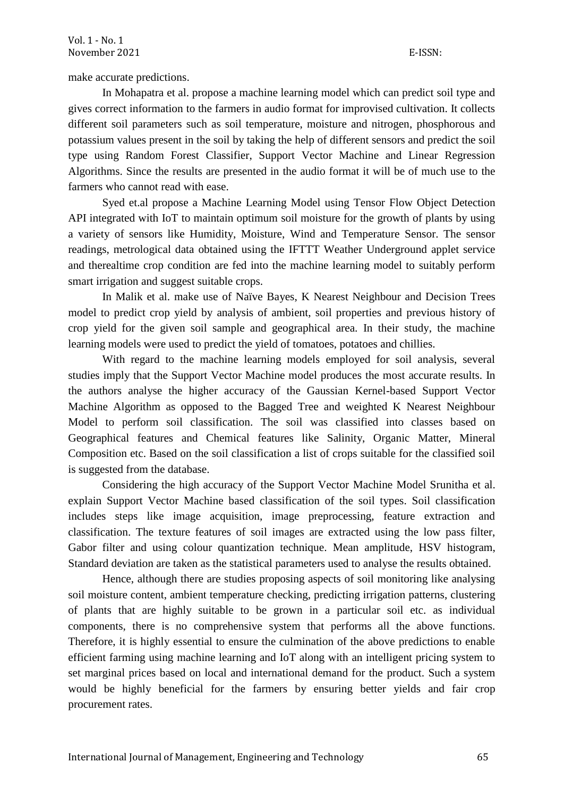make accurate predictions.

In Mohapatra et al. propose a machine learning model which can predict soil type and gives correct information to the farmers in audio format for improvised cultivation. It collects different soil parameters such as soil temperature, moisture and nitrogen, phosphorous and potassium values present in the soil by taking the help of different sensors and predict the soil type using Random Forest Classifier, Support Vector Machine and Linear Regression Algorithms. Since the results are presented in the audio format it will be of much use to the farmers who cannot read with ease.

Syed et.al propose a Machine Learning Model using Tensor Flow Object Detection API integrated with IoT to maintain optimum soil moisture for the growth of plants by using a variety of sensors like Humidity, Moisture, Wind and Temperature Sensor. The sensor readings, metrological data obtained using the IFTTT Weather Underground applet service and therealtime crop condition are fed into the machine learning model to suitably perform smart irrigation and suggest suitable crops.

In Malik et al. make use of Naïve Bayes, K Nearest Neighbour and Decision Trees model to predict crop yield by analysis of ambient, soil properties and previous history of crop yield for the given soil sample and geographical area. In their study, the machine learning models were used to predict the yield of tomatoes, potatoes and chillies.

With regard to the machine learning models employed for soil analysis, several studies imply that the Support Vector Machine model produces the most accurate results. In the authors analyse the higher accuracy of the Gaussian Kernel-based Support Vector Machine Algorithm as opposed to the Bagged Tree and weighted K Nearest Neighbour Model to perform soil classification. The soil was classified into classes based on Geographical features and Chemical features like Salinity, Organic Matter, Mineral Composition etc. Based on the soil classification a list of crops suitable for the classified soil is suggested from the database.

Considering the high accuracy of the Support Vector Machine Model Srunitha et al. explain Support Vector Machine based classification of the soil types. Soil classification includes steps like image acquisition, image preprocessing, feature extraction and classification. The texture features of soil images are extracted using the low pass filter, Gabor filter and using colour quantization technique. Mean amplitude, HSV histogram, Standard deviation are taken as the statistical parameters used to analyse the results obtained.

Hence, although there are studies proposing aspects of soil monitoring like analysing soil moisture content, ambient temperature checking, predicting irrigation patterns, clustering of plants that are highly suitable to be grown in a particular soil etc. as individual components, there is no comprehensive system that performs all the above functions. Therefore, it is highly essential to ensure the culmination of the above predictions to enable efficient farming using machine learning and IoT along with an intelligent pricing system to set marginal prices based on local and international demand for the product. Such a system would be highly beneficial for the farmers by ensuring better yields and fair crop procurement rates.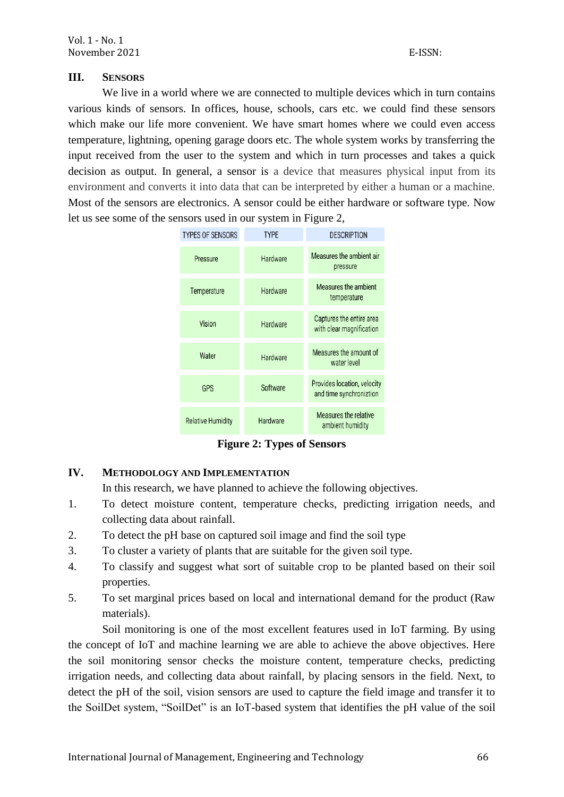#### **III. SENSORS**

We live in a world where we are connected to multiple devices which in turn contains various kinds of sensors. In offices, house, schools, cars etc. we could find these sensors which make our life more convenient. We have smart homes where we could even access temperature, lightning, opening garage doors etc. The whole system works by transferring the input received from the user to the system and which in turn processes and takes a quick decision as output. In general, a sensor is a device that measures physical input from its environment and converts it into data that can be interpreted by either a human or a machine. Most of the sensors are electronics. A sensor could be either hardware or software type. Now let us see some of the sensors used in our system in Figure 2,



**Figure 2: Types of Sensors**

#### **IV. METHODOLOGY AND IMPLEMENTATION**

In this research, we have planned to achieve the following objectives.

- 1. To detect moisture content, temperature checks, predicting irrigation needs, and collecting data about rainfall.
- 2. To detect the pH base on captured soil image and find the soil type
- 3. To cluster a variety of plants that are suitable for the given soil type.
- 4. To classify and suggest what sort of suitable crop to be planted based on their soil properties.
- 5. To set marginal prices based on local and international demand for the product (Raw materials).

Soil monitoring is one of the most excellent features used in IoT farming. By using the concept of IoT and machine learning we are able to achieve the above objectives. Here the soil monitoring sensor checks the moisture content, temperature checks, predicting irrigation needs, and collecting data about rainfall, by placing sensors in the field. Next, to detect the pH of the soil, vision sensors are used to capture the field image and transfer it to the SoilDet system, "SoilDet" is an IoT-based system that identifies the pH value of the soil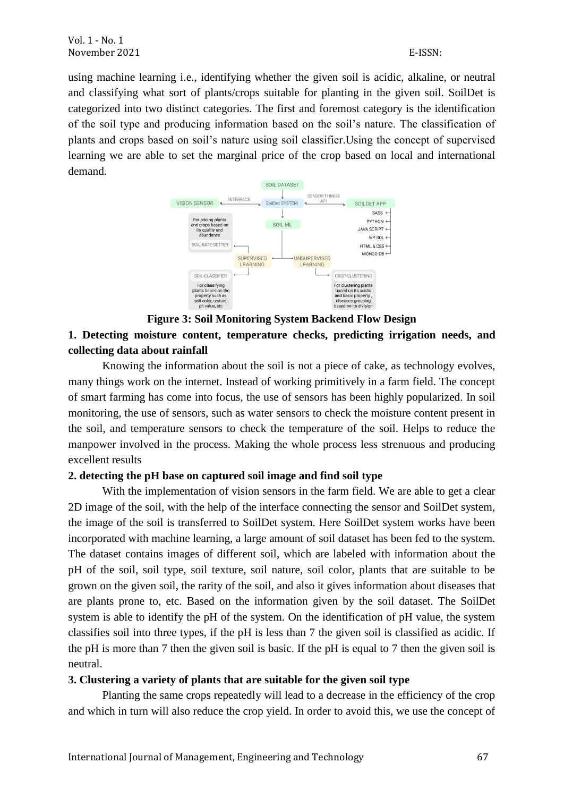using machine learning i.e., identifying whether the given soil is acidic, alkaline, or neutral and classifying what sort of plants/crops suitable for planting in the given soil. SoilDet is categorized into two distinct categories. The first and foremost category is the identification of the soil type and producing information based on the soil's nature. The classification of plants and crops based on soil's nature using soil classifier.Using the concept of supervised learning we are able to set the marginal price of the crop based on local and international demand.



# **Figure 3: Soil Monitoring System Backend Flow Design**

# **1. Detecting moisture content, temperature checks, predicting irrigation needs, and collecting data about rainfall**

Knowing the information about the soil is not a piece of cake, as technology evolves, many things work on the internet. Instead of working primitively in a farm field. The concept of smart farming has come into focus, the use of sensors has been highly popularized. In soil monitoring, the use of sensors, such as water sensors to check the moisture content present in the soil, and temperature sensors to check the temperature of the soil. Helps to reduce the manpower involved in the process. Making the whole process less strenuous and producing excellent results

# **2. detecting the pH base on captured soil image and find soil type**

With the implementation of vision sensors in the farm field. We are able to get a clear 2D image of the soil, with the help of the interface connecting the sensor and SoilDet system, the image of the soil is transferred to SoilDet system. Here SoilDet system works have been incorporated with machine learning, a large amount of soil dataset has been fed to the system. The dataset contains images of different soil, which are labeled with information about the pH of the soil, soil type, soil texture, soil nature, soil color, plants that are suitable to be grown on the given soil, the rarity of the soil, and also it gives information about diseases that are plants prone to, etc. Based on the information given by the soil dataset. The SoilDet system is able to identify the pH of the system. On the identification of pH value, the system classifies soil into three types, if the pH is less than 7 the given soil is classified as acidic. If the pH is more than 7 then the given soil is basic. If the pH is equal to 7 then the given soil is neutral.

# **3. Clustering a variety of plants that are suitable for the given soil type**

Planting the same crops repeatedly will lead to a decrease in the efficiency of the crop and which in turn will also reduce the crop yield. In order to avoid this, we use the concept of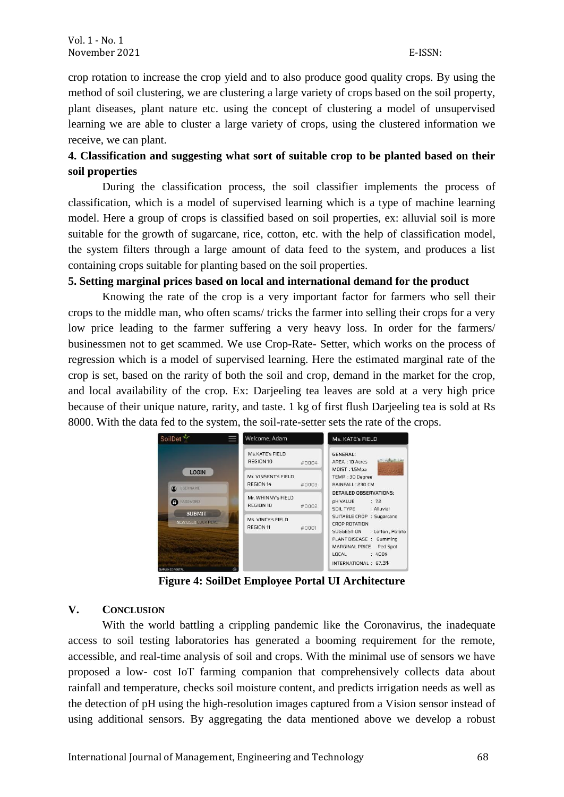crop rotation to increase the crop yield and to also produce good quality crops. By using the method of soil clustering, we are clustering a large variety of crops based on the soil property, plant diseases, plant nature etc. using the concept of clustering a model of unsupervised learning we are able to cluster a large variety of crops, using the clustered information we receive, we can plant.

# **4. Classification and suggesting what sort of suitable crop to be planted based on their soil properties**

During the classification process, the soil classifier implements the process of classification, which is a model of supervised learning which is a type of machine learning model. Here a group of crops is classified based on soil properties, ex: alluvial soil is more suitable for the growth of sugarcane, rice, cotton, etc. with the help of classification model, the system filters through a large amount of data feed to the system, and produces a list containing crops suitable for planting based on the soil properties.

#### **5. Setting marginal prices based on local and international demand for the product**

Knowing the rate of the crop is a very important factor for farmers who sell their crops to the middle man, who often scams/ tricks the farmer into selling their crops for a very low price leading to the farmer suffering a very heavy loss. In order for the farmers/ businessmen not to get scammed. We use Crop-Rate- Setter, which works on the process of regression which is a model of supervised learning. Here the estimated marginal rate of the crop is set, based on the rarity of both the soil and crop, demand in the market for the crop, and local availability of the crop. Ex: Darjeeling tea leaves are sold at a very high price because of their unique nature, rarity, and taste. 1 kg of first flush Darjeeling tea is sold at Rs 8000. With the data fed to the system, the soil-rate-setter sets the rate of the crops.



**Figure 4: SoilDet Employee Portal UI Architecture**

# **V. CONCLUSION**

With the world battling a crippling pandemic like the Coronavirus, the inadequate access to soil testing laboratories has generated a booming requirement for the remote, accessible, and real-time analysis of soil and crops. With the minimal use of sensors we have proposed a low- cost IoT farming companion that comprehensively collects data about rainfall and temperature, checks soil moisture content, and predicts irrigation needs as well as the detection of pH using the high-resolution images captured from a Vision sensor instead of using additional sensors. By aggregating the data mentioned above we develop a robust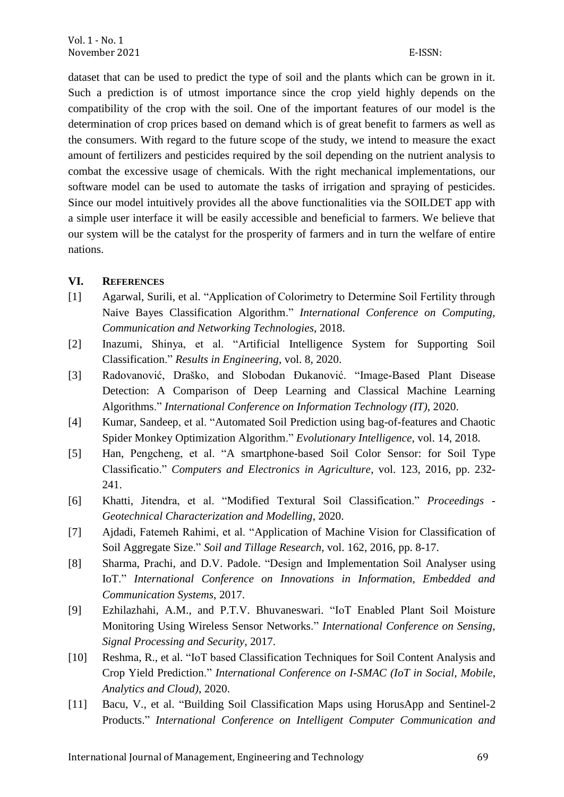dataset that can be used to predict the type of soil and the plants which can be grown in it. Such a prediction is of utmost importance since the crop yield highly depends on the compatibility of the crop with the soil. One of the important features of our model is the determination of crop prices based on demand which is of great benefit to farmers as well as the consumers. With regard to the future scope of the study, we intend to measure the exact amount of fertilizers and pesticides required by the soil depending on the nutrient analysis to combat the excessive usage of chemicals. With the right mechanical implementations, our software model can be used to automate the tasks of irrigation and spraying of pesticides. Since our model intuitively provides all the above functionalities via the SOILDET app with a simple user interface it will be easily accessible and beneficial to farmers. We believe that our system will be the catalyst for the prosperity of farmers and in turn the welfare of entire nations.

#### **VI. REFERENCES**

- [1] Agarwal, Surili, et al. "Application of Colorimetry to Determine Soil Fertility through Naive Bayes Classification Algorithm." *International Conference on Computing, Communication and Networking Technologies*, 2018.
- [2] Inazumi, Shinya, et al. "Artificial Intelligence System for Supporting Soil Classification." *Results in Engineering*, vol. 8, 2020.
- [3] Radovanović, Draško, and Slobodan Đukanović. "Image-Based Plant Disease Detection: A Comparison of Deep Learning and Classical Machine Learning Algorithms." *International Conference on Information Technology (IT)*, 2020.
- [4] Kumar, Sandeep, et al. "Automated Soil Prediction using bag-of-features and Chaotic Spider Monkey Optimization Algorithm." *Evolutionary Intelligence*, vol. 14, 2018.
- [5] Han, Pengcheng, et al. "A smartphone-based Soil Color Sensor: for Soil Type Classificatio." *Computers and Electronics in Agriculture*, vol. 123, 2016, pp. 232- 241.
- [6] Khatti, Jitendra, et al. "Modified Textural Soil Classification." *Proceedings - Geotechnical Characterization and Modelling*, 2020.
- [7] Ajdadi, Fatemeh Rahimi, et al. "Application of Machine Vision for Classification of Soil Aggregate Size." *Soil and Tillage Research*, vol. 162, 2016, pp. 8-17.
- [8] Sharma, Prachi, and D.V. Padole. "Design and Implementation Soil Analyser using IoT." *International Conference on Innovations in Information, Embedded and Communication Systems*, 2017.
- [9] Ezhilazhahi, A.M., and P.T.V. Bhuvaneswari. "IoT Enabled Plant Soil Moisture Monitoring Using Wireless Sensor Networks." *International Conference on Sensing, Signal Processing and Security*, 2017.
- [10] Reshma, R., et al. "IoT based Classification Techniques for Soil Content Analysis and Crop Yield Prediction." *International Conference on I-SMAC (IoT in Social, Mobile, Analytics and Cloud)*, 2020.
- [11] Bacu, V., et al. "Building Soil Classification Maps using HorusApp and Sentinel-2 Products." *International Conference on Intelligent Computer Communication and*